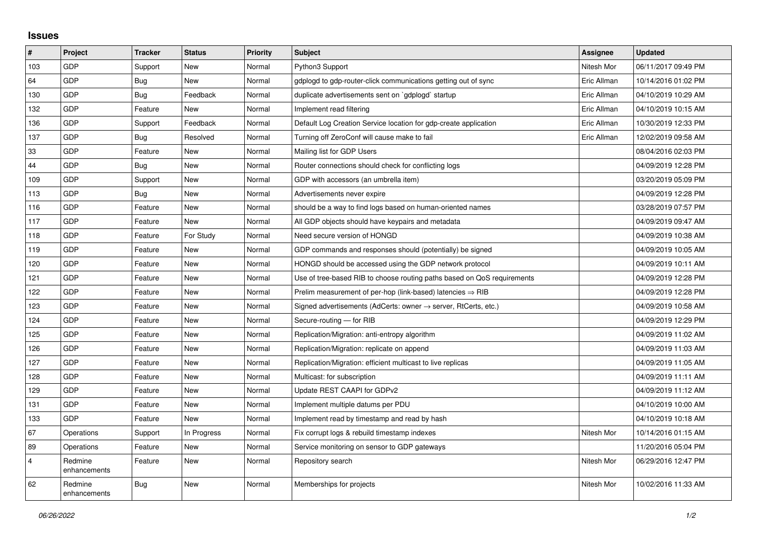## **Issues**

| #              | Project                 | <b>Tracker</b> | <b>Status</b> | <b>Priority</b> | <b>Subject</b>                                                          | Assignee    | <b>Updated</b>      |
|----------------|-------------------------|----------------|---------------|-----------------|-------------------------------------------------------------------------|-------------|---------------------|
| 103            | GDP                     | Support        | <b>New</b>    | Normal          | Python3 Support                                                         | Nitesh Mor  | 06/11/2017 09:49 PM |
| 64             | <b>GDP</b>              | <b>Bug</b>     | <b>New</b>    | Normal          | gdplogd to gdp-router-click communications getting out of sync          | Eric Allman | 10/14/2016 01:02 PM |
| 130            | GDP                     | <b>Bug</b>     | Feedback      | Normal          | duplicate advertisements sent on `gdplogd` startup                      | Eric Allman | 04/10/2019 10:29 AM |
| 132            | GDP                     | Feature        | <b>New</b>    | Normal          | Implement read filtering                                                | Eric Allman | 04/10/2019 10:15 AM |
| 136            | <b>GDP</b>              | Support        | Feedback      | Normal          | Default Log Creation Service location for gdp-create application        | Eric Allman | 10/30/2019 12:33 PM |
| 137            | GDP                     | Bug            | Resolved      | Normal          | Turning off ZeroConf will cause make to fail                            | Eric Allman | 12/02/2019 09:58 AM |
| 33             | GDP                     | Feature        | <b>New</b>    | Normal          | Mailing list for GDP Users                                              |             | 08/04/2016 02:03 PM |
| 44             | <b>GDP</b>              | Bug            | <b>New</b>    | Normal          | Router connections should check for conflicting logs                    |             | 04/09/2019 12:28 PM |
| 109            | GDP                     | Support        | <b>New</b>    | Normal          | GDP with accessors (an umbrella item)                                   |             | 03/20/2019 05:09 PM |
| 113            | <b>GDP</b>              | Bug            | <b>New</b>    | Normal          | Advertisements never expire                                             |             | 04/09/2019 12:28 PM |
| 116            | <b>GDP</b>              | Feature        | <b>New</b>    | Normal          | should be a way to find logs based on human-oriented names              |             | 03/28/2019 07:57 PM |
| 117            | GDP                     | Feature        | <b>New</b>    | Normal          | All GDP objects should have keypairs and metadata                       |             | 04/09/2019 09:47 AM |
| 118            | GDP                     | Feature        | For Study     | Normal          | Need secure version of HONGD                                            |             | 04/09/2019 10:38 AM |
| 119            | <b>GDP</b>              | Feature        | <b>New</b>    | Normal          | GDP commands and responses should (potentially) be signed               |             | 04/09/2019 10:05 AM |
| 120            | GDP                     | Feature        | New           | Normal          | HONGD should be accessed using the GDP network protocol                 |             | 04/09/2019 10:11 AM |
| 121            | GDP                     | Feature        | <b>New</b>    | Normal          | Use of tree-based RIB to choose routing paths based on QoS requirements |             | 04/09/2019 12:28 PM |
| 122            | GDP                     | Feature        | <b>New</b>    | Normal          | Prelim measurement of per-hop (link-based) latencies $\Rightarrow$ RIB  |             | 04/09/2019 12:28 PM |
| 123            | GDP                     | Feature        | New           | Normal          | Signed advertisements (AdCerts: owner → server, RtCerts, etc.)          |             | 04/09/2019 10:58 AM |
| 124            | <b>GDP</b>              | Feature        | <b>New</b>    | Normal          | Secure-routing - for RIB                                                |             | 04/09/2019 12:29 PM |
| 125            | <b>GDP</b>              | Feature        | <b>New</b>    | Normal          | Replication/Migration: anti-entropy algorithm                           |             | 04/09/2019 11:02 AM |
| 126            | GDP                     | Feature        | <b>New</b>    | Normal          | Replication/Migration: replicate on append                              |             | 04/09/2019 11:03 AM |
| 127            | GDP                     | Feature        | <b>New</b>    | Normal          | Replication/Migration: efficient multicast to live replicas             |             | 04/09/2019 11:05 AM |
| 128            | <b>GDP</b>              | Feature        | <b>New</b>    | Normal          | Multicast: for subscription                                             |             | 04/09/2019 11:11 AM |
| 129            | <b>GDP</b>              | Feature        | New           | Normal          | Update REST CAAPI for GDPv2                                             |             | 04/09/2019 11:12 AM |
| 131            | <b>GDP</b>              | Feature        | <b>New</b>    | Normal          | Implement multiple datums per PDU                                       |             | 04/10/2019 10:00 AM |
| 133            | GDP                     | Feature        | <b>New</b>    | Normal          | Implement read by timestamp and read by hash                            |             | 04/10/2019 10:18 AM |
| 67             | Operations              | Support        | In Progress   | Normal          | Fix corrupt logs & rebuild timestamp indexes                            | Nitesh Mor  | 10/14/2016 01:15 AM |
| 89             | Operations              | Feature        | <b>New</b>    | Normal          | Service monitoring on sensor to GDP gateways                            |             | 11/20/2016 05:04 PM |
| $\overline{4}$ | Redmine<br>enhancements | Feature        | <b>New</b>    | Normal          | Repository search                                                       | Nitesh Mor  | 06/29/2016 12:47 PM |
| 62             | Redmine<br>enhancements | <b>Bug</b>     | <b>New</b>    | Normal          | Memberships for projects                                                | Nitesh Mor  | 10/02/2016 11:33 AM |